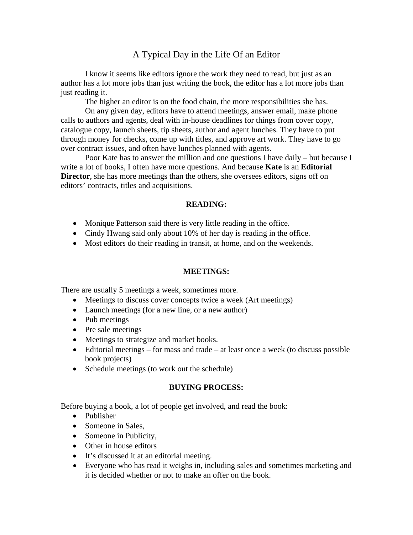# A Typical Day in the Life Of an Editor

I know it seems like editors ignore the work they need to read, but just as an author has a lot more jobs than just writing the book, the editor has a lot more jobs than just reading it.

The higher an editor is on the food chain, the more responsibilities she has.

On any given day, editors have to attend meetings, answer email, make phone calls to authors and agents, deal with in-house deadlines for things from cover copy, catalogue copy, launch sheets, tip sheets, author and agent lunches. They have to put through money for checks, come up with titles, and approve art work. They have to go over contract issues, and often have lunches planned with agents.

Poor Kate has to answer the million and one questions I have daily – but because I write a lot of books, I often have more questions. And because **Kate** is an **Editorial Director**, she has more meetings than the others, she oversees editors, signs off on editors' contracts, titles and acquisitions.

### **READING:**

- Monique Patterson said there is very little reading in the office.
- Cindy Hwang said only about 10% of her day is reading in the office.
- Most editors do their reading in transit, at home, and on the weekends.

#### **MEETINGS:**

There are usually 5 meetings a week, sometimes more.

- Meetings to discuss cover concepts twice a week (Art meetings)
- Launch meetings (for a new line, or a new author)
- Pub meetings
- Pre sale meetings
- Meetings to strategize and market books.
- Editorial meetings for mass and trade at least once a week (to discuss possible book projects)
- Schedule meetings (to work out the schedule)

#### **BUYING PROCESS:**

Before buying a book, a lot of people get involved, and read the book:

- Publisher
- Someone in Sales,
- Someone in Publicity,
- Other in house editors
- It's discussed it at an editorial meeting.
- Everyone who has read it weighs in, including sales and sometimes marketing and it is decided whether or not to make an offer on the book.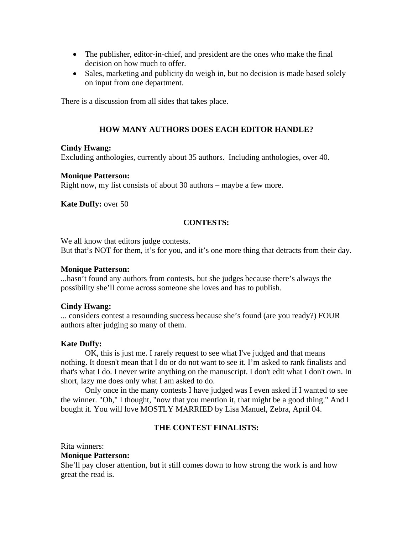- The publisher, editor-in-chief, and president are the ones who make the final decision on how much to offer.
- Sales, marketing and publicity do weigh in, but no decision is made based solely on input from one department.

There is a discussion from all sides that takes place.

## **HOW MANY AUTHORS DOES EACH EDITOR HANDLE?**

### **Cindy Hwang:**

Excluding anthologies, currently about 35 authors. Including anthologies, over 40.

### **Monique Patterson:**

Right now, my list consists of about 30 authors – maybe a few more.

## **Kate Duffy:** over 50

## **CONTESTS:**

We all know that editors judge contests.

But that's NOT for them, it's for you, and it's one more thing that detracts from their day.

#### **Monique Patterson:**

...hasn't found any authors from contests, but she judges because there's always the possibility she'll come across someone she loves and has to publish.

## **Cindy Hwang:**

... considers contest a resounding success because she's found (are you ready?) FOUR authors after judging so many of them.

## **Kate Duffy:**

OK, this is just me. I rarely request to see what I've judged and that means nothing. It doesn't mean that I do or do not want to see it. I'm asked to rank finalists and that's what I do. I never write anything on the manuscript. I don't edit what I don't own. In short, lazy me does only what I am asked to do.

Only once in the many contests I have judged was I even asked if I wanted to see the winner. "Oh," I thought, "now that you mention it, that might be a good thing." And I bought it. You will love MOSTLY MARRIED by Lisa Manuel, Zebra, April 04.

## **THE CONTEST FINALISTS:**

Rita winners:

### **Monique Patterson:**

She'll pay closer attention, but it still comes down to how strong the work is and how great the read is.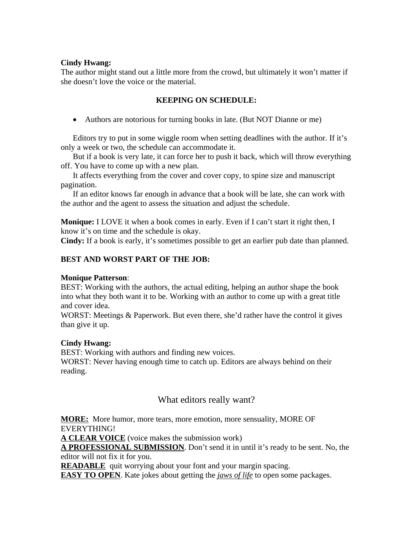## **Cindy Hwang:**

The author might stand out a little more from the crowd, but ultimately it won't matter if she doesn't love the voice or the material.

## **KEEPING ON SCHEDULE:**

Authors are notorious for turning books in late. (But NOT Dianne or me)

Editors try to put in some wiggle room when setting deadlines with the author. If it's only a week or two, the schedule can accommodate it.

But if a book is very late, it can force her to push it back, which will throw everything off. You have to come up with a new plan.

It affects everything from the cover and cover copy, to spine size and manuscript pagination.

If an editor knows far enough in advance that a book will be late, she can work with the author and the agent to assess the situation and adjust the schedule.

**Monique:** I LOVE it when a book comes in early. Even if I can't start it right then, I know it's on time and the schedule is okay.

**Cindy:** If a book is early, it's sometimes possible to get an earlier pub date than planned.

## **BEST AND WORST PART OF THE JOB:**

## **Monique Patterson**:

BEST: Working with the authors, the actual editing, helping an author shape the book into what they both want it to be. Working with an author to come up with a great title and cover idea.

WORST: Meetings & Paperwork. But even there, she'd rather have the control it gives than give it up.

## **Cindy Hwang:**

BEST: Working with authors and finding new voices. WORST: Never having enough time to catch up. Editors are always behind on their reading.

# What editors really want?

**MORE:** More humor, more tears, more emotion, more sensuality, MORE OF EVERYTHING!

**A CLEAR VOICE** (voice makes the submission work)

**A PROFESSIONAL SUBMISSION**. Don't send it in until it's ready to be sent. No, the editor will not fix it for you.

**READABLE** quit worrying about your font and your margin spacing.

**EASY TO OPEN**. Kate jokes about getting the *jaws of life* to open some packages.